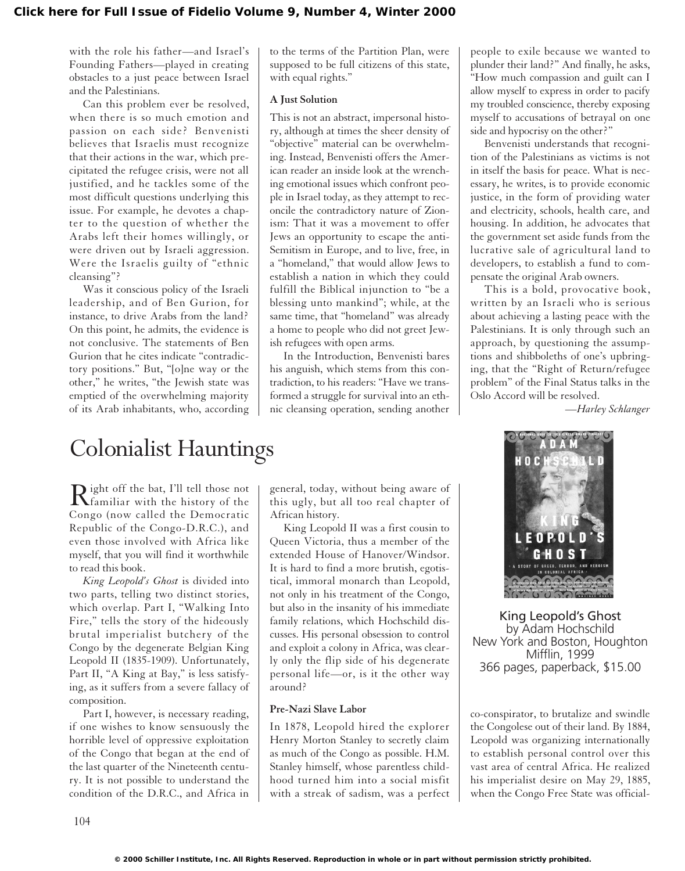with the role his father—and Israel's Founding Fathers—played in creating obstacles to a just peace between Israel and the Palestinians.

Can this problem ever be resolved, when there is so much emotion and passion on each side? Benvenisti believes that Israelis must recognize that their actions in the war, which precipitated the refugee crisis, were not all justified, and he tackles some of the most difficult questions underlying this issue. For example, he devotes a chapter to the question of whether the Arabs left their homes willingly, or were driven out by Israeli aggression. Were the Israelis guilty of "ethnic cleansing"?

Was it conscious policy of the Israeli leadership, and of Ben Gurion, for instance, to drive Arabs from the land? On this point, he admits, the evidence is not conclusive. The statements of Ben Gurion that he cites indicate "contradictory positions." But, "[o]ne way or the other," he writes, "the Jewish state was emptied of the overwhelming majority of its Arab inhabitants, who, according

# Colonialist Hauntings

Right off the bat, I'll tell those not<br>familiar with the history of the Congo (now called the Democratic Republic of the Congo-D.R.C.), and even those involved with Africa like myself, that you will find it worthwhile to read this book.

*King Leopold's Ghost* is divided into two parts, telling two distinct stories, which overlap. Part I, "Walking Into Fire," tells the story of the hideously brutal imperialist butchery of the Congo by the degenerate Belgian King Leopold II (1835-1909). Unfortunately, Part II, "A King at Bay," is less satisfying, as it suffers from a severe fallacy of composition.

Part I, however, is necessary reading, if one wishes to know sensuously the horrible level of oppressive exploitation of the Congo that began at the end of the last quarter of the Nineteenth century. It is not possible to understand the condition of the D.R.C., and Africa in

to the terms of the Partition Plan, were supposed to be full citizens of this state, with equal rights."

### **A Just Solution**

This is not an abstract, impersonal history, although at times the sheer density of "objective" material can be overwhelming. Instead, Benvenisti offers the American reader an inside look at the wrenching emotional issues which confront people in Israel today, as they attempt to reconcile the contradictory nature of Zionism: That it was a movement to offer Jews an opportunity to escape the anti-Semitism in Europe, and to live, free, in a "homeland," that would allow Jews to establish a nation in which they could fulfill the Biblical injunction to "be a blessing unto mankind"; while, at the same time, that "homeland" was already a home to people who did not greet Jewish refugees with open arms.

In the Introduction, Benvenisti bares his anguish, which stems from this contradiction, to his readers: "Have we transformed a struggle for survival into an ethnic cleansing operation, sending another

general, today, without being aware of this ugly, but all too real chapter of African history.

King Leopold II was a first cousin to Queen Victoria, thus a member of the extended House of Hanover/Windsor. It is hard to find a more brutish, egotistical, immoral monarch than Leopold, not only in his treatment of the Congo, but also in the insanity of his immediate family relations, which Hochschild discusses. His personal obsession to control and exploit a colony in Africa, was clearly only the flip side of his degenerate personal life—or, is it the other way around?

### **Pre-Nazi Slave Labor**

In 1878, Leopold hired the explorer Henry Morton Stanley to secretly claim as much of the Congo as possible. H.M. Stanley himself, whose parentless childhood turned him into a social misfit with a streak of sadism, was a perfect people to exile because we wanted to plunder their land?" And finally, he asks, "How much compassion and guilt can I allow myself to express in order to pacify my troubled conscience, thereby exposing myself to accusations of betrayal on one side and hypocrisy on the other?"

Benvenisti understands that recognition of the Palestinians as victims is not in itself the basis for peace. What is necessary, he writes, is to provide economic justice, in the form of providing water and electricity, schools, health care, and housing. In addition, he advocates that the government set aside funds from the lucrative sale of agricultural land to developers, to establish a fund to compensate the original Arab owners.

This is a bold, provocative book, written by an Israeli who is serious about achieving a lasting peace with the Palestinians. It is only through such an approach, by questioning the assumptions and shibboleths of one's upbringing, that the "Right of Return/refugee problem" of the Final Status talks in the Oslo Accord will be resolved.

*—Harley Schlanger*



King Leopold's Ghost by Adam Hochschild New York and Boston, Houghton Mifflin, 1999 366 pages, paperback, \$15.00

co-conspirator, to brutalize and swindle the Congolese out of their land. By 1884, Leopold was organizing internationally to establish personal control over this vast area of central Africa. He realized his imperialist desire on May 29, 1885, when the Congo Free State was official